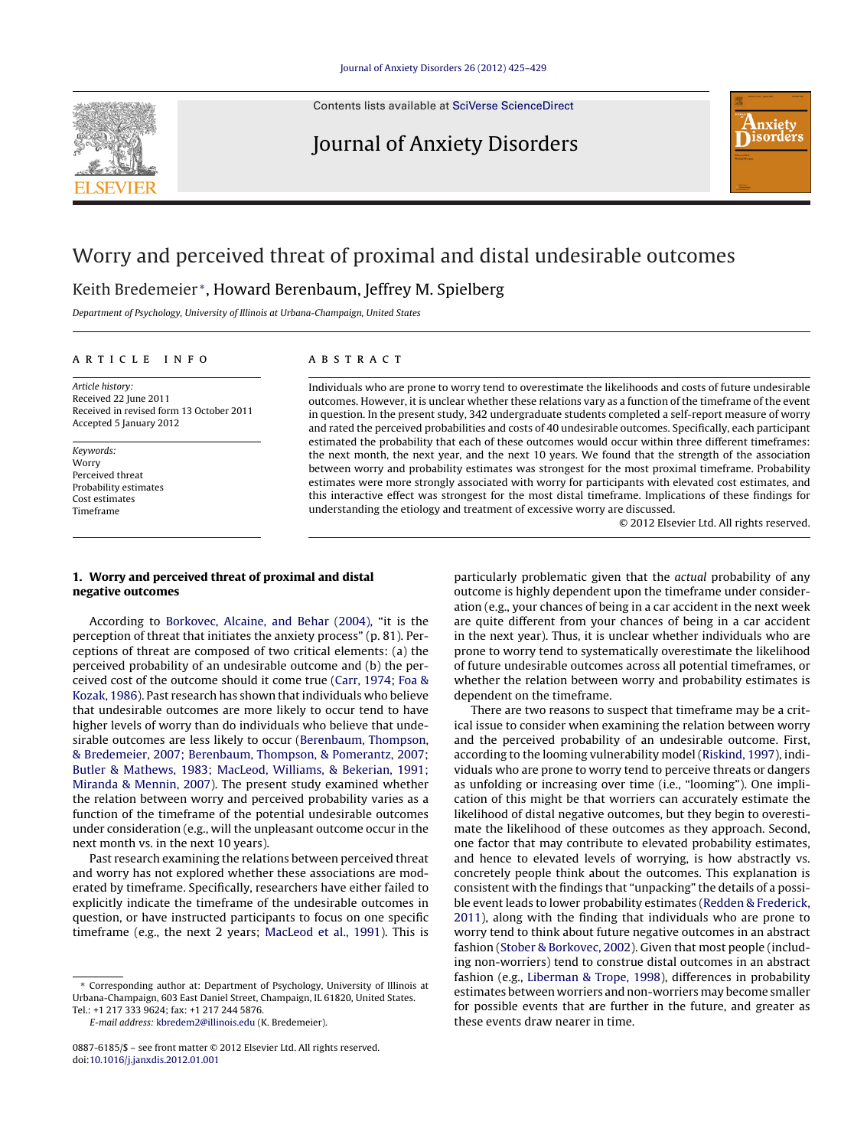Contents lists available at SciVerse [ScienceDirect](http://www.sciencedirect.com/science/journal/08876185)

# Journal of Anxiety Disorders



# Worry and perceived threat of proximal and distal undesirable outcomes

## Keith Bredemeier <sup>∗</sup>, Howard Berenbaum, Jeffrey M. Spielberg

Department of Psychology, University of Illinois at Urbana-Champaign, United States

#### a r t i c l e i n f o

Article history: Received 22 June 2011 Received in revised form 13 October 2011 Accepted 5 January 2012

Keywords: Worry Perceived threat Probability estimates Cost estimates Timeframe

### A B S T R A C T

Individuals who are prone to worry tend to overestimate the likelihoods and costs of future undesirable outcomes. However, it is unclear whether these relations vary as a function of the timeframe of the event in question. In the present study, 342 undergraduate students completed a self-report measure of worry and rated the perceived probabilities and costs of 40 undesirable outcomes. Specifically, each participant estimated the probability that each of these outcomes would occur within three different timeframes: the next month, the next year, and the next 10 years. We found that the strength of the association between worry and probability estimates was strongest for the most proximal timeframe. Probability estimates were more strongly associated with worry for participants with elevated cost estimates, and this interactive effect was strongest for the most distal timeframe. Implications of these findings for understanding the etiology and treatment of excessive worry are discussed.

© 2012 Elsevier Ltd. All rights reserved.

### **1. Worry and perceived threat of proximal and distal negative outcomes**

According to [Borkovec,](#page-4-0) [Alcaine,](#page-4-0) [and](#page-4-0) [Behar](#page-4-0) [\(2004\),](#page-4-0) "it is the perception of threat that initiates the anxiety process" (p. 81). Perceptions of threat are composed of two critical elements: (a) the perceived probability of an undesirable outcome and (b) the perceived cost of the outcome should it come true [\(Carr,](#page-4-0) [1974;](#page-4-0) [Foa](#page-4-0) [&](#page-4-0) [Kozak,](#page-4-0) [1986\).](#page-4-0) Past research has shown that individuals who believe that undesirable outcomes are more likely to occur tend to have higher levels of worry than do individuals who believe that undesirable outcomes are less likely to occur [\(Berenbaum,](#page-4-0) [Thompson,](#page-4-0) [&](#page-4-0) [Bredemeier,](#page-4-0) [2007;](#page-4-0) [Berenbaum,](#page-4-0) [Thompson,](#page-4-0) [&](#page-4-0) [Pomerantz,](#page-4-0) [2007;](#page-4-0) [Butler](#page-4-0) [&](#page-4-0) [Mathews,](#page-4-0) [1983;](#page-4-0) [MacLeod,](#page-4-0) [Williams,](#page-4-0) [&](#page-4-0) [Bekerian,](#page-4-0) [1991;](#page-4-0) [Miranda](#page-4-0) [&](#page-4-0) [Mennin,](#page-4-0) [2007\).](#page-4-0) The present study examined whether the relation between worry and perceived probability varies as a function of the timeframe of the potential undesirable outcomes under consideration (e.g., will the unpleasant outcome occur in the next month vs. in the next 10 years).

Past research examining the relations between perceived threat and worry has not explored whether these associations are moderated by timeframe. Specifically, researchers have either failed to explicitly indicate the timeframe of the undesirable outcomes in question, or have instructed participants to focus on one specific timeframe (e.g., the next 2 years; [MacLeod](#page-4-0) et [al.,](#page-4-0) [1991\).](#page-4-0) This is

E-mail address: [kbredem2@illinois.edu](mailto:kbredem2@illinois.edu) (K. Bredemeier).

particularly problematic given that the actual probability of any outcome is highly dependent upon the timeframe under consideration (e.g., your chances of being in a car accident in the next week are quite different from your chances of being in a car accident in the next year). Thus, it is unclear whether individuals who are prone to worry tend to systematically overestimate the likelihood of future undesirable outcomes across all potential timeframes, or whether the relation between worry and probability estimates is dependent on the timeframe.

There are two reasons to suspect that timeframe may be a critical issue to consider when examining the relation between worry and the perceived probability of an undesirable outcome. First, according to the looming vulnerability model ([Riskind,](#page-4-0) [1997\),](#page-4-0) individuals who are prone to worry tend to perceive threats or dangers as unfolding or increasing over time (i.e., "looming"). One implication of this might be that worriers can accurately estimate the likelihood of distal negative outcomes, but they begin to overestimate the likelihood of these outcomes as they approach. Second, one factor that may contribute to elevated probability estimates, and hence to elevated levels of worrying, is how abstractly vs. concretely people think about the outcomes. This explanation is consistent with the findings that "unpacking" the details of a possible event leads to lower probability estimates [\(Redden](#page-4-0) [&](#page-4-0) [Frederick,](#page-4-0) [2011\),](#page-4-0) along with the finding that individuals who are prone to worry tend to think about future negative outcomes in an abstract fashion [\(Stober](#page-4-0) [&](#page-4-0) [Borkovec,](#page-4-0) [2002\).](#page-4-0) Given that most people (including non-worriers) tend to construe distal outcomes in an abstract fashion (e.g., [Liberman](#page-4-0) [&](#page-4-0) [Trope,](#page-4-0) [1998\),](#page-4-0) differences in probability estimates between worriers and non-worriers may become smaller for possible events that are further in the future, and greater as these events draw nearer in time.

<sup>∗</sup> Corresponding author at: Department of Psychology, University of Illinois at Urbana-Champaign, 603 East Daniel Street, Champaign, IL 61820, United States. Tel.: +1 217 333 9624; fax: +1 217 244 5876.

<sup>0887-6185/\$</sup> – see front matter © 2012 Elsevier Ltd. All rights reserved. doi:[10.1016/j.janxdis.2012.01.001](dx.doi.org/10.1016/j.janxdis.2012.01.001)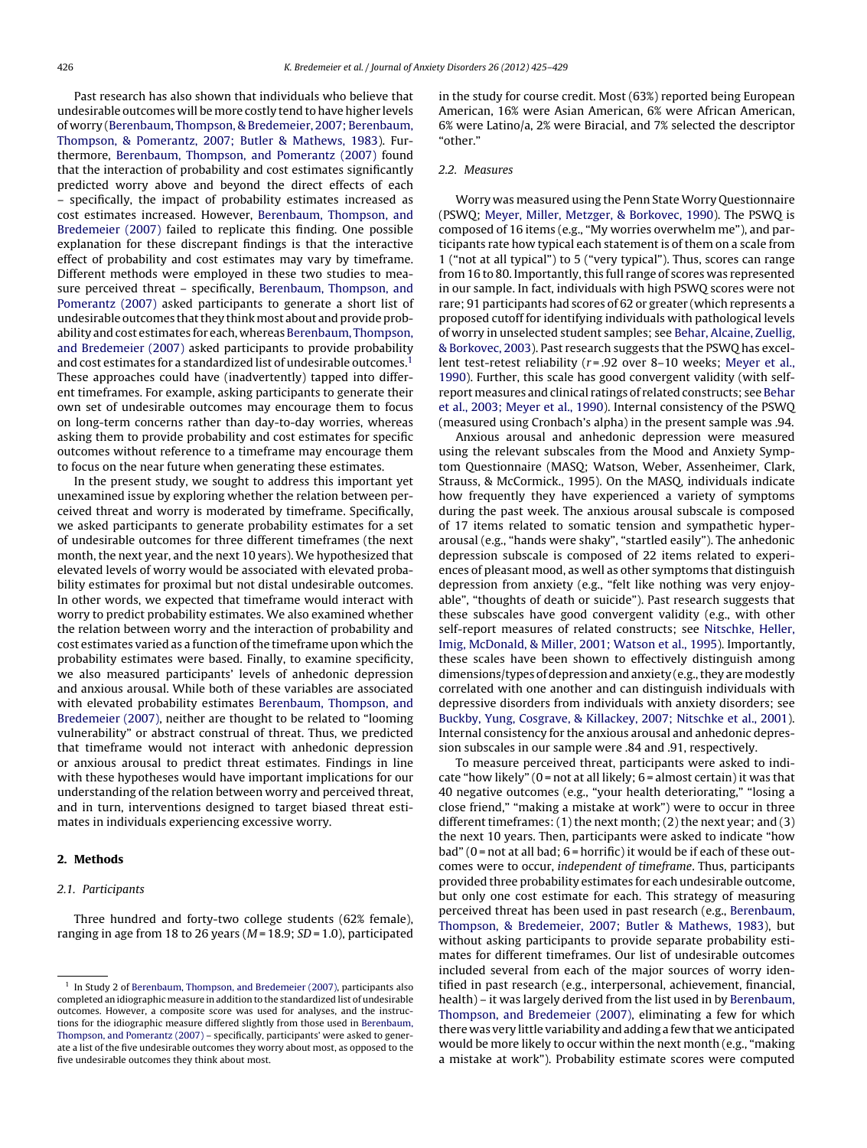Past research has also shown that individuals who believe that undesirable outcomes will be more costly tend to have higher levels of worry [\(Berenbaum,](#page-4-0) [Thompson,](#page-4-0) [&](#page-4-0) [Bredemeier,](#page-4-0) [2007;](#page-4-0) [Berenbaum,](#page-4-0) [Thompson,](#page-4-0) [&](#page-4-0) [Pomerantz,](#page-4-0) [2007;](#page-4-0) [Butler](#page-4-0) [&](#page-4-0) [Mathews,](#page-4-0) [1983\).](#page-4-0) Furthermore, [Berenbaum,](#page-4-0) [Thompson,](#page-4-0) [and](#page-4-0) [Pomerantz](#page-4-0) [\(2007\)](#page-4-0) found that the interaction of probability and cost estimates significantly predicted worry above and beyond the direct effects of each – specifically, the impact of probability estimates increased as cost estimates increased. However, [Berenbaum,](#page-4-0) [Thompson,](#page-4-0) [and](#page-4-0) [Bredemeier](#page-4-0) [\(2007\)](#page-4-0) failed to replicate this finding. One possible explanation for these discrepant findings is that the interactive effect of probability and cost estimates may vary by timeframe. Different methods were employed in these two studies to measure perceived threat – specifically, [Berenbaum,](#page-4-0) [Thompson,](#page-4-0) [and](#page-4-0) [Pomerantz](#page-4-0) [\(2007\)](#page-4-0) asked participants to generate a short list of undesirable outcomes that they think most about and provide probability and cost estimates for each, whereas [Berenbaum,](#page-4-0) [Thompson,](#page-4-0) [and](#page-4-0) [Bredemeier](#page-4-0) [\(2007\)](#page-4-0) asked participants to provide probability and cost estimates for a standardized list of undesirable outcomes.<sup>1</sup> These approaches could have (inadvertently) tapped into different timeframes. For example, asking participants to generate their own set of undesirable outcomes may encourage them to focus on long-term concerns rather than day-to-day worries, whereas asking them to provide probability and cost estimates for specific outcomes without reference to a timeframe may encourage them to focus on the near future when generating these estimates.

In the present study, we sought to address this important yet unexamined issue by exploring whether the relation between perceived threat and worry is moderated by timeframe. Specifically, we asked participants to generate probability estimates for a set of undesirable outcomes for three different timeframes (the next month, the next year, and the next 10 years). We hypothesized that elevated levels of worry would be associated with elevated probability estimates for proximal but not distal undesirable outcomes. In other words, we expected that timeframe would interact with worry to predict probability estimates. We also examined whether the relation between worry and the interaction of probability and cost estimates varied as a function of the timeframe upon which the probability estimates were based. Finally, to examine specificity, we also measured participants' levels of anhedonic depression and anxious arousal. While both of these variables are associated with elevated probability estimates [Berenbaum,](#page-4-0) [Thompson,](#page-4-0) [and](#page-4-0) [Bredemeier](#page-4-0) [\(2007\),](#page-4-0) neither are thought to be related to "looming vulnerability" or abstract construal of threat. Thus, we predicted that timeframe would not interact with anhedonic depression or anxious arousal to predict threat estimates. Findings in line with these hypotheses would have important implications for our understanding of the relation between worry and perceived threat, and in turn, interventions designed to target biased threat estimates in individuals experiencing excessive worry.

#### **2. Methods**

#### 2.1. Participants

Three hundred and forty-two college students (62% female), ranging in age from 18 to 26 years ( $M = 18.9$ ;  $SD = 1.0$ ), participated in the study for course credit. Most (63%) reported being European American, 16% were Asian American, 6% were African American, 6% were Latino/a, 2% were Biracial, and 7% selected the descriptor "other."

#### 2.2. Measures

Worry was measured using the Penn State Worry Questionnaire (PSWQ; [Meyer,](#page-4-0) [Miller,](#page-4-0) [Metzger,](#page-4-0) [&](#page-4-0) [Borkovec,](#page-4-0) [1990\).](#page-4-0) The PSWQ is composed of 16 items (e.g., "My worries overwhelm me"), and participants rate how typical each statement is of them on a scale from 1 ("not at all typical") to 5 ("very typical"). Thus, scores can range from 16 to 80. Importantly, this full range of scores was represented in our sample. In fact, individuals with high PSWQ scores were not rare; 91 participants had scores of 62 or greater (which represents a proposed cutoff for identifying individuals with pathological levels of worry in unselected student samples; see [Behar,](#page-4-0) [Alcaine,](#page-4-0) [Zuellig,](#page-4-0) [&](#page-4-0) [Borkovec,](#page-4-0) [2003\).](#page-4-0) Past research suggests that the PSWQ has excellent test-retest reliability ( $r = .92$  over 8-10 weeks; [Meyer](#page-4-0) et [al.,](#page-4-0) [1990\).](#page-4-0) Further, this scale has good convergent validity (with selfreport measures and clinical ratings of related constructs; see [Behar](#page-4-0) et [al.,](#page-4-0) [2003;](#page-4-0) [Meyer](#page-4-0) et [al.,](#page-4-0) [1990\).](#page-4-0) Internal consistency of the PSWQ (measured using Cronbach's alpha) in the present sample was .94.

Anxious arousal and anhedonic depression were measured using the relevant subscales from the Mood and Anxiety Symptom Questionnaire (MASQ; Watson, Weber, Assenheimer, Clark, Strauss, & McCormick., 1995). On the MASQ, individuals indicate how frequently they have experienced a variety of symptoms during the past week. The anxious arousal subscale is composed of 17 items related to somatic tension and sympathetic hyperarousal (e.g., "hands were shaky", "startled easily"). The anhedonic depression subscale is composed of 22 items related to experiences of pleasant mood, as well as other symptoms that distinguish depression from anxiety (e.g., "felt like nothing was very enjoyable", "thoughts of death or suicide"). Past research suggests that these subscales have good convergent validity (e.g., with other self-report measures of related constructs; see [Nitschke,](#page-4-0) [Heller,](#page-4-0) [Imig,](#page-4-0) [McDonald,](#page-4-0) [&](#page-4-0) [Miller,](#page-4-0) [2001;](#page-4-0) [Watson](#page-4-0) et [al.,](#page-4-0) [1995\).](#page-4-0) Importantly, these scales have been shown to effectively distinguish among dimensions/types of depression and anxiety (e.g., they are modestly correlated with one another and can distinguish individuals with depressive disorders from individuals with anxiety disorders; see [Buckby,](#page-4-0) [Yung,](#page-4-0) [Cosgrave,](#page-4-0) [&](#page-4-0) [Killackey,](#page-4-0) [2007;](#page-4-0) [Nitschke](#page-4-0) et [al.,](#page-4-0) [2001\).](#page-4-0) Internal consistency for the anxious arousal and anhedonic depression subscales in our sample were .84 and .91, respectively.

To measure perceived threat, participants were asked to indicate "how likely" ( $0$  = not at all likely;  $6$  = almost certain) it was that 40 negative outcomes (e.g., "your health deteriorating," "losing a close friend," "making a mistake at work") were to occur in three different timeframes: (1) the next month; (2) the next year; and (3) the next 10 years. Then, participants were asked to indicate "how bad" ( $0$  = not at all bad;  $6$  = horrific) it would be if each of these outcomes were to occur, independent of timeframe. Thus, participants provided three probability estimates for each undesirable outcome, but only one cost estimate for each. This strategy of measuring perceived threat has been used in past research (e.g., [Berenbaum,](#page-4-0) [Thompson,](#page-4-0) [&](#page-4-0) [Bredemeier,](#page-4-0) [2007;](#page-4-0) [Butler](#page-4-0) [&](#page-4-0) [Mathews,](#page-4-0) [1983\),](#page-4-0) but without asking participants to provide separate probability estimates for different timeframes. Our list of undesirable outcomes included several from each of the major sources of worry identified in past research (e.g., interpersonal, achievement, financial, health) – it was largely derived from the list used in by [Berenbaum,](#page-4-0) [Thompson,](#page-4-0) [and](#page-4-0) [Bredemeier](#page-4-0) [\(2007\),](#page-4-0) eliminating a few for which there was very little variability and adding a few that we anticipated would be more likely to occur within the next month (e.g., "making a mistake at work"). Probability estimate scores were computed

<sup>&</sup>lt;sup>1</sup> In Study 2 of [Berenbaum,](#page-4-0) [Thompson,](#page-4-0) [and](#page-4-0) [Bredemeier](#page-4-0) [\(2007\),](#page-4-0) participants also completed an idiographic measure in addition to the standardized list of undesirable outcomes. However, a composite score was used for analyses, and the instructions for the idiographic measure differed slightly from those used in [Berenbaum,](#page-4-0) [Thompson,](#page-4-0) [and](#page-4-0) [Pomerantz](#page-4-0) [\(2007\)](#page-4-0) – specifically, participants' were asked to generate a list of the five undesirable outcomes they worry about most, as opposed to the five undesirable outcomes they think about most.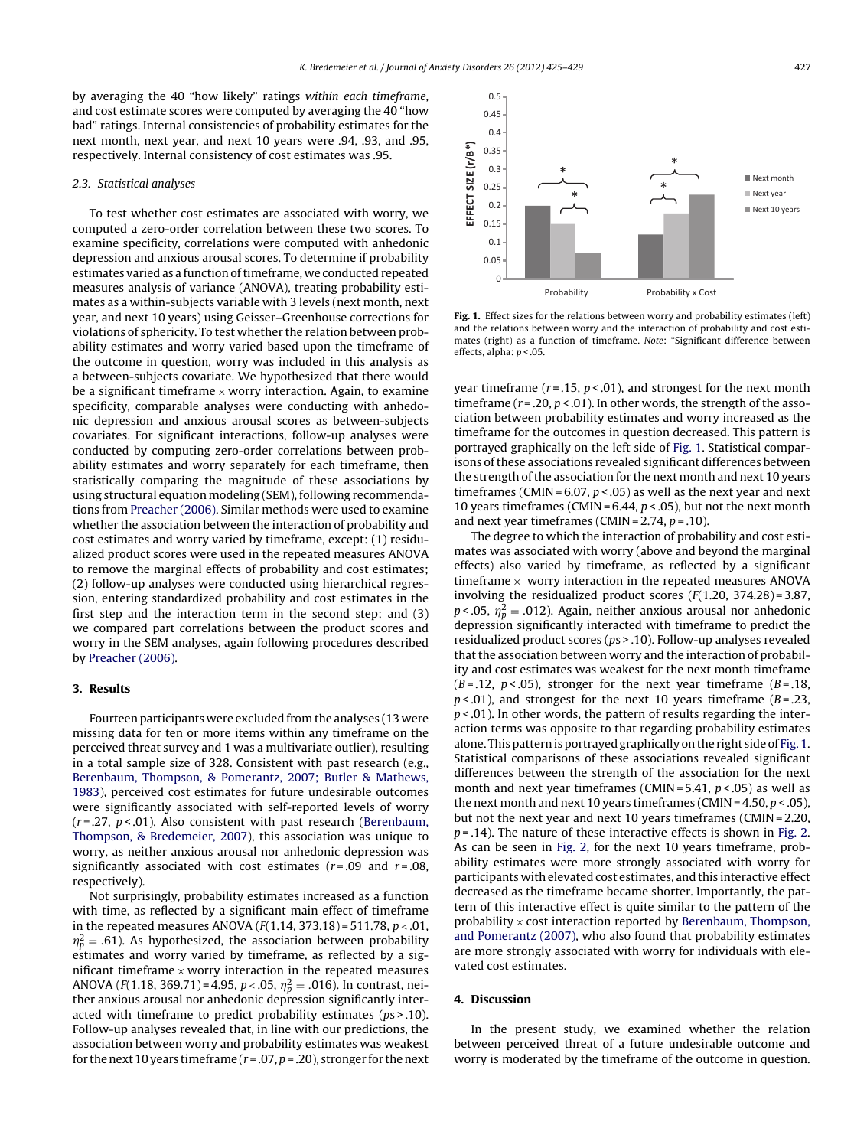by averaging the 40 "how likely" ratings within each timeframe, and cost estimate scores were computed by averaging the 40 "how bad" ratings. Internal consistencies of probability estimates for the next month, next year, and next 10 years were .94, .93, and .95, respectively. Internal consistency of cost estimates was .95.

#### 2.3. Statistical analyses

To test whether cost estimates are associated with worry, we computed a zero-order correlation between these two scores. To examine specificity, correlations were computed with anhedonic depression and anxious arousal scores. To determine if probability estimates varied as a function of timeframe, we conducted repeated measures analysis of variance (ANOVA), treating probability estimates as a within-subjects variable with 3 levels (next month, next year, and next 10 years) using Geisser–Greenhouse corrections for violations of sphericity. To test whether the relation between probability estimates and worry varied based upon the timeframe of the outcome in question, worry was included in this analysis as a between-subjects covariate. We hypothesized that there would be a significant timeframe  $\times$  worry interaction. Again, to examine specificity, comparable analyses were conducting with anhedonic depression and anxious arousal scores as between-subjects covariates. For significant interactions, follow-up analyses were conducted by computing zero-order correlations between probability estimates and worry separately for each timeframe, then statistically comparing the magnitude of these associations by using structural equation modeling (SEM), following recommendations from [Preacher](#page-4-0) [\(2006\).](#page-4-0) Similar methods were used to examine whether the association between the interaction of probability and cost estimates and worry varied by timeframe, except: (1) residualized product scores were used in the repeated measures ANOVA to remove the marginal effects of probability and cost estimates; (2) follow-up analyses were conducted using hierarchical regression, entering standardized probability and cost estimates in the first step and the interaction term in the second step; and (3) we compared part correlations between the product scores and worry in the SEM analyses, again following procedures described by [Preacher](#page-4-0) [\(2006\).](#page-4-0)

#### **3. Results**

Fourteen participants were excluded from the analyses (13 were missing data for ten or more items within any timeframe on the perceived threat survey and 1 was a multivariate outlier), resulting in a total sample size of 328. Consistent with past research (e.g., [Berenbaum,](#page-4-0) [Thompson,](#page-4-0) [&](#page-4-0) [Pomerantz,](#page-4-0) [2007;](#page-4-0) [Butler](#page-4-0) [&](#page-4-0) [Mathews,](#page-4-0) [1983\),](#page-4-0) perceived cost estimates for future undesirable outcomes were significantly associated with self-reported levels of worry  $(r=.27, p<.01)$ . Also consistent with past research [\(Berenbaum,](#page-4-0) [Thompson,](#page-4-0) [&](#page-4-0) [Bredemeier,](#page-4-0) [2007\),](#page-4-0) this association was unique to worry, as neither anxious arousal nor anhedonic depression was significantly associated with cost estimates ( $r = .09$  and  $r = .08$ , respectively).

Not surprisingly, probability estimates increased as a function with time, as reflected by a significant main effect of timeframe in the repeated measures ANOVA  $(F(1.14, 373.18) = 511.78, p < .01,$  $\eta_p^2 = .61$ ). As hypothesized, the association between probability estimates and worry varied by timeframe, as reflected by a significant timeframe  $\times$  worry interaction in the repeated measures ANOVA (F(1.18, 369.71)=4.95, p < .05,  $\eta_p^2 =$  .016). In contrast, neither anxious arousal nor anhedonic depression significantly interacted with timeframe to predict probability estimates ( $ps$  > .10). Follow-up analyses revealed that, in line with our predictions, the association between worry and probability estimates was weakest for the next 10 years timeframe ( $r = .07$ ,  $p = .20$ ), stronger for the next



**Fig. 1.** Effect sizes for the relations between worry and probability estimates (left) and the relations between worry and the interaction of probability and cost estimates (right) as a function of timeframe. Note: \*Significant difference between effects, alpha:  $p < .05$ .

year timeframe ( $r = .15$ ,  $p < .01$ ), and strongest for the next month timeframe ( $r = 0.20$ ,  $p < 0.01$ ). In other words, the strength of the association between probability estimates and worry increased as the timeframe for the outcomes in question decreased. This pattern is portrayed graphically on the left side of Fig. 1. Statistical comparisons of these associations revealed significant differences between the strength of the association for the next month and next 10 years timeframes (CMIN =  $6.07, p < .05$ ) as well as the next year and next 10 years timeframes (CMIN =  $6.44$ ,  $p < .05$ ), but not the next month and next year timeframes (CMIN =  $2.74$ ,  $p = .10$ ).

The degree to which the interaction of probability and cost estimates was associated with worry (above and beyond the marginal effects) also varied by timeframe, as reflected by a significant timeframe  $\times$  worry interaction in the repeated measures ANOVA involving the residualized product scores  $(F(1.20, 374.28) = 3.87,$  $p < .05$ ,  $\eta_p^2 = .012$ ). Again, neither anxious arousal nor anhedonic depression significantly interacted with timeframe to predict the residualized product scores (ps > .10). Follow-up analyses revealed that the association between worry and the interaction of probability and cost estimates was weakest for the next month timeframe  $(B=.12, p<.05)$ , stronger for the next year timeframe  $(B=.18,$  $p$  < 0.01), and strongest for the next 10 years timeframe ( $B = 0.23$ ,  $p$  < .01). In other words, the pattern of results regarding the interaction terms was opposite to that regarding probability estimates alone. This pattern is portrayed graphically on the right side of Fig. 1. Statistical comparisons of these associations revealed significant differences between the strength of the association for the next month and next year timeframes (CMIN =  $5.41, p < .05$ ) as well as the next month and next 10 years timeframes (CMIN =  $4.50, p < .05$ ), but not the next year and next 10 years timeframes (CMIN = 2.20,  $p = .14$ ). The nature of these interactive effects is shown in [Fig.](#page-3-0) 2. As can be seen in [Fig.](#page-3-0) 2, for the next 10 years timeframe, probability estimates were more strongly associated with worry for participants with elevated cost estimates, and this interactive effect decreased as the timeframe became shorter. Importantly, the pattern of this interactive effect is quite similar to the pattern of the probability  $\times$  cost interaction reported by [Berenbaum,](#page-4-0) [Thompson,](#page-4-0) [and](#page-4-0) [Pomerantz](#page-4-0) [\(2007\),](#page-4-0) who also found that probability estimates are more strongly associated with worry for individuals with elevated cost estimates.

#### **4. Discussion**

In the present study, we examined whether the relation between perceived threat of a future undesirable outcome and worry is moderated by the timeframe of the outcome in question.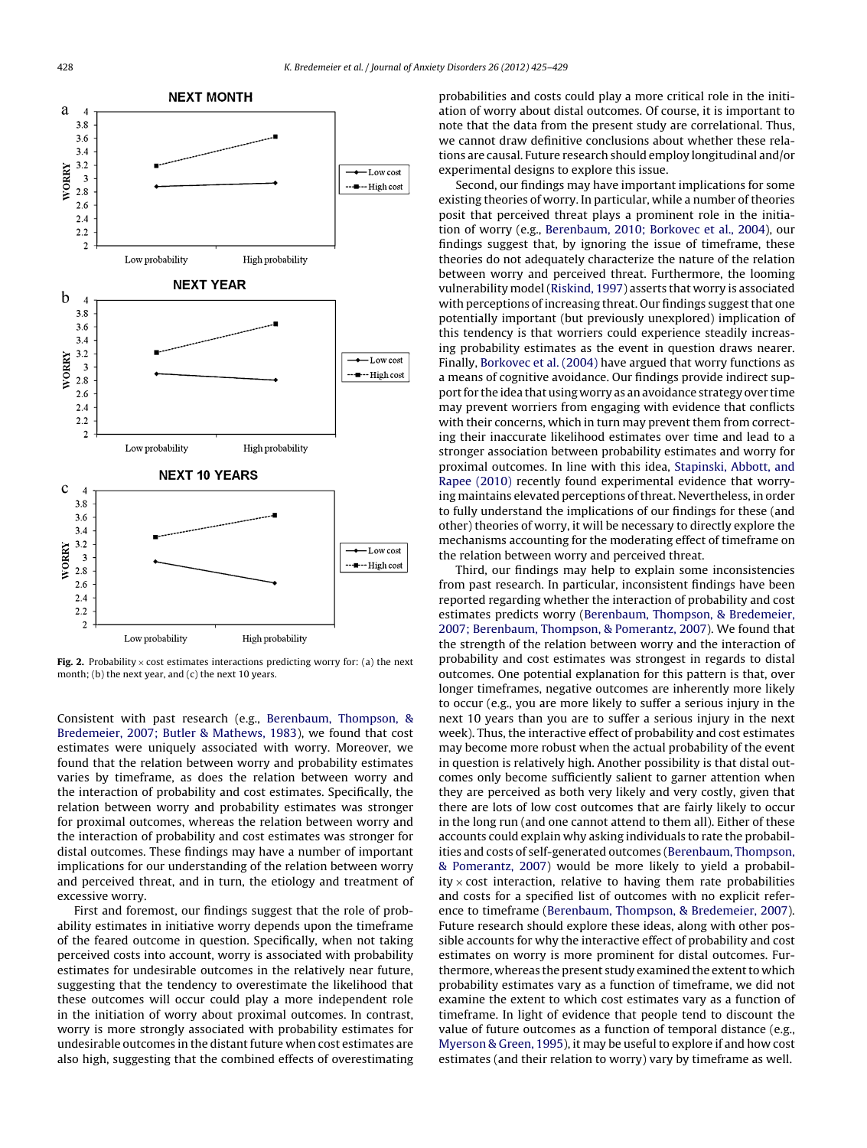<span id="page-3-0"></span>

**Fig. 2.** Probability  $\times$  cost estimates interactions predicting worry for: (a) the next month; (b) the next year, and (c) the next 10 years.

Consistent with past research (e.g., [Berenbaum,](#page-4-0) [Thompson,](#page-4-0) [&](#page-4-0) [Bredemeier,](#page-4-0) [2007;](#page-4-0) [Butler](#page-4-0) [&](#page-4-0) [Mathews,](#page-4-0) [1983\),](#page-4-0) we found that cost estimates were uniquely associated with worry. Moreover, we found that the relation between worry and probability estimates varies by timeframe, as does the relation between worry and the interaction of probability and cost estimates. Specifically, the relation between worry and probability estimates was stronger for proximal outcomes, whereas the relation between worry and the interaction of probability and cost estimates was stronger for distal outcomes. These findings may have a number of important implications for our understanding of the relation between worry and perceived threat, and in turn, the etiology and treatment of excessive worry.

First and foremost, our findings suggest that the role of probability estimates in initiative worry depends upon the timeframe of the feared outcome in question. Specifically, when not taking perceived costs into account, worry is associated with probability estimates for undesirable outcomes in the relatively near future, suggesting that the tendency to overestimate the likelihood that these outcomes will occur could play a more independent role in the initiation of worry about proximal outcomes. In contrast, worry is more strongly associated with probability estimates for undesirable outcomes in the distant future when cost estimates are also high, suggesting that the combined effects of overestimating

probabilities and costs could play a more critical role in the initiation of worry about distal outcomes. Of course, it is important to note that the data from the present study are correlational. Thus, we cannot draw definitive conclusions about whether these relations are causal. Future research should employ longitudinal and/or experimental designs to explore this issue.

Second, our findings may have important implications for some existing theories of worry. In particular, while a number of theories posit that perceived threat plays a prominent role in the initiation of worry (e.g., [Berenbaum,](#page-4-0) [2010;](#page-4-0) [Borkovec](#page-4-0) et [al.,](#page-4-0) [2004\),](#page-4-0) our findings suggest that, by ignoring the issue of timeframe, these theories do not adequately characterize the nature of the relation between worry and perceived threat. Furthermore, the looming vulnerability model([Riskind,](#page-4-0) [1997\)](#page-4-0) asserts that worry is associated with perceptions of increasing threat. Our findings suggest that one potentially important (but previously unexplored) implication of this tendency is that worriers could experience steadily increasing probability estimates as the event in question draws nearer. Finally, [Borkovec](#page-4-0) et [al.](#page-4-0) [\(2004\)](#page-4-0) have argued that worry functions as a means of cognitive avoidance. Our findings provide indirect support for the idea that using worry as an avoidance strategy over time may prevent worriers from engaging with evidence that conflicts with their concerns, which in turn may prevent them from correcting their inaccurate likelihood estimates over time and lead to a stronger association between probability estimates and worry for proximal outcomes. In line with this idea, [Stapinski,](#page-4-0) [Abbott,](#page-4-0) [and](#page-4-0) [Rapee](#page-4-0) [\(2010\)](#page-4-0) recently found experimental evidence that worrying maintains elevated perceptions of threat. Nevertheless, in order to fully understand the implications of our findings for these (and other) theories of worry, it will be necessary to directly explore the mechanisms accounting for the moderating effect of timeframe on the relation between worry and perceived threat.

Third, our findings may help to explain some inconsistencies from past research. In particular, inconsistent findings have been reported regarding whether the interaction of probability and cost estimates predicts worry [\(Berenbaum,](#page-4-0) [Thompson,](#page-4-0) [&](#page-4-0) [Bredemeier,](#page-4-0) [2007;](#page-4-0) [Berenbaum,](#page-4-0) [Thompson,](#page-4-0) [&](#page-4-0) [Pomerantz,](#page-4-0) [2007\).](#page-4-0) We found that the strength of the relation between worry and the interaction of probability and cost estimates was strongest in regards to distal outcomes. One potential explanation for this pattern is that, over longer timeframes, negative outcomes are inherently more likely to occur (e.g., you are more likely to suffer a serious injury in the next 10 years than you are to suffer a serious injury in the next week). Thus, the interactive effect of probability and cost estimates may become more robust when the actual probability of the event in question is relatively high. Another possibility is that distal outcomes only become sufficiently salient to garner attention when they are perceived as both very likely and very costly, given that there are lots of low cost outcomes that are fairly likely to occur in the long run (and one cannot attend to them all). Either of these accounts could explain why asking individuals to rate the probabilities and costs of self-generated outcomes [\(Berenbaum,](#page-4-0) [Thompson,](#page-4-0) [&](#page-4-0) [Pomerantz,](#page-4-0) [2007\)](#page-4-0) would be more likely to yield a probabil $ity \times cost$  interaction, relative to having them rate probabilities and costs for a specified list of outcomes with no explicit reference to timeframe [\(Berenbaum,](#page-4-0) [Thompson,](#page-4-0) [&](#page-4-0) [Bredemeier,](#page-4-0) [2007\).](#page-4-0) Future research should explore these ideas, along with other possible accounts for why the interactive effect of probability and cost estimates on worry is more prominent for distal outcomes. Furthermore, whereas the present study examined the extent to which probability estimates vary as a function of timeframe, we did not examine the extent to which cost estimates vary as a function of timeframe. In light of evidence that people tend to discount the value of future outcomes as a function of temporal distance (e.g., [Myerson](#page-4-0) [&](#page-4-0) [Green,](#page-4-0) [1995\),](#page-4-0) it may be useful to explore if and how cost estimates (and their relation to worry) vary by timeframe as well.